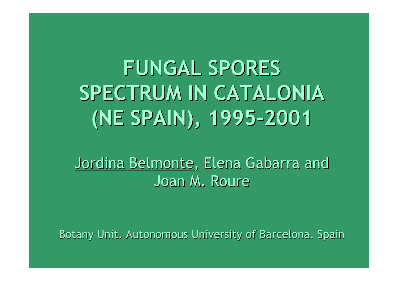# **FUNGAL SPORES FUNGAL SPORESSPECTRUM IN CATALONIA SPECTRUM IN CATALONIA(NE SPAIN), 1995-2001 (NE SPAIN), 1995-2001**

Jordina Belmonte, Elena Gabarra and Joan M. Joan M. Roure

Botany Unit. Autonomous University of Barcelona. Spain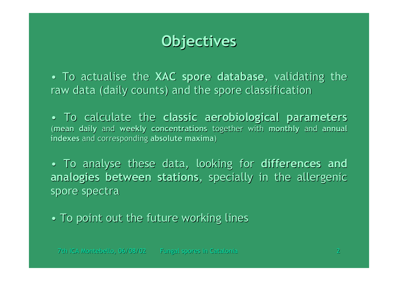#### **Objectives Objectives**

• To actualise the XAC spore database, validating the raw data (daily counts) and the spore classification

• To calculate the To calculate the **classic classic aerobiological aerobiological parameters parameters** (mean daily and weekly concentrations together with monthly and annual indexes and corresponding absolute maxima)

• To analyse these data, looking for differences and analogies between stations, specially in the allergenic spore spectra

• To point out the future working lines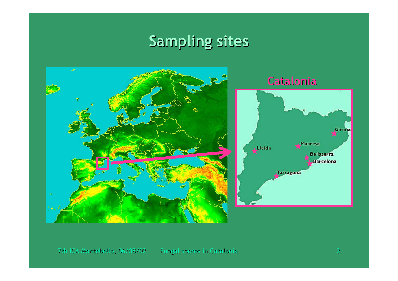## **Sampling sites**

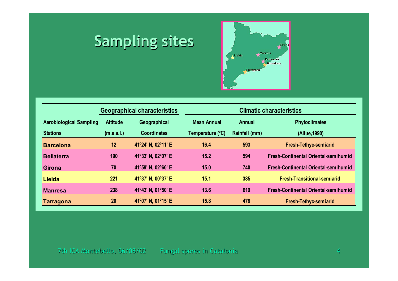# **Sampling sites**



|                                |                 | <b>Geographical characteristics</b> | <b>Climatic characteristics</b> |               |                                             |  |  |  |  |
|--------------------------------|-----------------|-------------------------------------|---------------------------------|---------------|---------------------------------------------|--|--|--|--|
| <b>Aerobiological Sampling</b> | <b>Altitude</b> | Geographical                        | <b>Mean Annual</b>              | <b>Annual</b> | <b>Phytoclimates</b>                        |  |  |  |  |
| <b>Stations</b>                | (m.a.s.l.)      | <b>Coordinates</b>                  | Temperature (°C)                | Rainfall (mm) | (Allue, 1990)                               |  |  |  |  |
| <b>Barcelona</b>               | 12              | 41°24' N, 02°11' E                  | 16.4                            | 593           | <b>Fresh-Tethyc-semiarid</b>                |  |  |  |  |
| <b>Bellaterra</b>              | 190             | 41°33' N, 02°07' E                  | 15.2                            | 594           | <b>Fresh-Continental Oriental-semihumid</b> |  |  |  |  |
| <b>Girona</b>                  | 70              | 41°59' N, 02°60' E                  | 15.0                            | 740           | <b>Fresh-Continental Oriental-semihumid</b> |  |  |  |  |
| Lleida                         | 221             | 41°37' N, 00°37' E                  | 15.1                            | 385           | <b>Fresh-Transitional-semiarid</b>          |  |  |  |  |
| <b>Manresa</b>                 | 238             | 41°43' N, 01°50' E                  | 13.6                            | 619           | <b>Fresh-Continental Oriental-semihumid</b> |  |  |  |  |
| <b>Tarragona</b>               | 20              | 41°07' N, 01°15' E                  | 15.8                            | 478           | <b>Fresh-Tethyc-semiarid</b>                |  |  |  |  |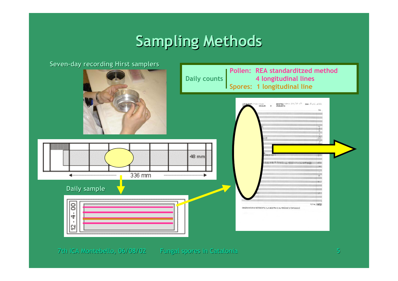### **Sampling Methods**

**Seven-day recording Hirst samplers Seven-day recording Hirst samplers**

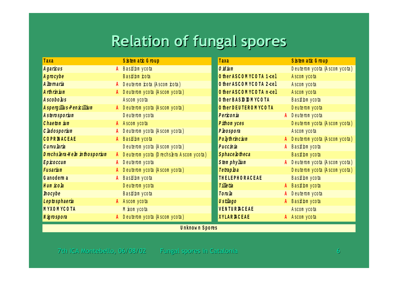### **Relation of fungal spores Relation of fungal spores**

| Taxa                         |              | S is tem atic G roup                       | Taxa                    |           | Sistem atic Group               |
|------------------------------|--------------|--------------------------------------------|-------------------------|-----------|---------------------------------|
| Agaricus                     |              | A Basidom ycota                            | $0$ id ium              |           | Deuterom ycota (Ascom ycota)    |
| Agrocybe                     |              | Basidom cota                               | O therASCOMYCOTA 1-cel  |           | Ascom y cota                    |
| A ltemaria                   |              | A Deuterom rota (Ascom rota)               | O ther ASCOMYCOTA 2-cel |           | Ascom y cota                    |
| A rthrinium                  |              | A Deuterom y cota (A scom y cota)          | O ther ASCOMYCOTA n-cel |           | A scom y cota                   |
| A scobo lus                  |              | A scom y cota                              | O ther BAS D D M YCO TA |           | Basidom ycota                   |
| A spergillus-Penicillium     |              | A Deuterom ycota (Ascom ycota)             | O therDEUTEROMYCOTA     |           | Deuterom ycota                  |
| Asterosporium                |              | Deuterom ycota                             | Periconia               |           | A Deuterom ycota                |
| Chaetom ium                  |              | A Ascom ycota                              | Pithom yces             |           | Deuterom ycota (Ascom ycota)    |
| C ladosporium                |              | A Deuterom y cota (Ascom y cota)           | Pleospora               |           | Ascom y cota                    |
| COPR <b>NACEAE</b>           | $\mathbf{A}$ | Basidom ycota                              | Polythrincium           |           | A Deuterom ycota (Ascom ycota)  |
| Curvu laria                  |              | Deuterom ycota (Ascom ycota)               | Puccinia                |           | A Basidom ycota                 |
| Drechslera Helm inthosporium |              | A Deuterom y cota (Drechsera Ascom y cota) | Sphace lotheca          |           | Basidom ycota                   |
| Epicoccum                    |              | A Deuterom ycota                           | Stem phylium            |           | A Deuterom ycota (Ascom ycota)  |
| Fusarium                     |              | Deuterom y cota (A scom y cota)            | Tetraploa               |           | Deuterom y cota (A scom y cota) |
| Ganoderma                    |              | A Basidom ycota                            | THELEPHORACEAE          |           | Basidom ycota                   |
| Hum icola                    |              | Deuterom ycota                             | Tilletia                |           | Basidom ycota                   |
| Inocybe                      |              | Basidom ycota                              | Torula                  |           | Deuterom ycota                  |
| Leptosphaeria                |              | A Ascom ycota                              | <b>Ustilago</b>         | $\lambda$ | Basidom ycota                   |
| MYXOMYCOTA                   |              | M kom ycota                                | <b>VENTUR ACEAE</b>     |           | Ascom y cota                    |
| Nigrospora                   |              | A Deuterom ycota (Ascom ycota)             | <b>XYLAR ACEAE</b>      |           | A Ascom ycota                   |
|                              |              |                                            |                         |           |                                 |

#### *<u><b>U***nknowns**<sub>pores</sub></u>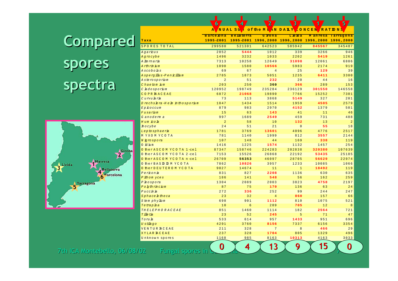# Compared spores spectra



|                               | л<br>NUAL        | ່ວບ               | <b>OLUIE MIAN</b>   | <u>UALI</u><br>- 2<br>UNCEN<br><b>IKALDN</b> |           |                |  |  |
|-------------------------------|------------------|-------------------|---------------------|----------------------------------------------|-----------|----------------|--|--|
|                               | <b>Barcelona</b> | <b>Bellaterra</b> | G irona             | Lleida                                       | M anresa  | Tarragona      |  |  |
| Taxa                          | 1995-2001        |                   | 1995-2001 1996,2000 | 1996,2000                                    | 1996,2000 | 1996,2000      |  |  |
| SPORES TO TAL                 | 299580           | 521301            | 642523              | 585942                                       | 845567    | 345487         |  |  |
| Agarrus                       | 2852             | 5444              | 1012                | 339                                          | 3266      | 946            |  |  |
| Agrocybe                      | 1496             | 3232              | 1033                | 2202                                         | 5419      | 1261           |  |  |
| A <i>lte maria</i>            | 7313             | 10258             | 12649               | 31098                                        | 12061     | 6806           |  |  |
| Arthrinium                    | 1090             | 1580              | 10566               | 5983                                         | 2174      | 919            |  |  |
| <i>Ascobolis</i>              | 69               | 67                | $\overline{4}$      | 25                                           | 129       | 39             |  |  |
| Aspergillus-Penicillium       | 2785             | 1873              | 5051                | 1235                                         | 6411      | 3300           |  |  |
| A sterosporium                | $\overline{2}$   | 51                | 232                 | 20                                           | 44        | 16             |  |  |
| $C$ hae to $m$ $\mu$ $m$      | 203              | 250               | 360                 | 366                                          | 289       | 153            |  |  |
| C hdosporium                  | 120952           | 198749            | 235284              | 236129                                       | 301550    | 146558         |  |  |
| COPR NACEAE                   | 6872             | 21068             | 19890               | 7766                                         | 15252     | 7301           |  |  |
| Curvularia                    | 73               | 113               | 3868                | 5149                                         | 327       | 201            |  |  |
| Drechs bra-Helm in thosporium | 1047             | 1434              | 1514                | 1959                                         | 4505      | 2579           |  |  |
| Eproccum                      | 879              | 983               | 2970                | 4152                                         | 1379      | 501            |  |  |
| Fusarium                      | 15               | 63                | 143                 | 41                                           | 11        | 46             |  |  |
| Ganoderma                     | 997              | 1689              | 2549                | 459                                          | 731       | 488            |  |  |
| Hum roh                       | $\overline{2}$   | 58                | 10                  | 132                                          | 13        | $\overline{a}$ |  |  |
| <b><i>Inocybe</i></b>         | 24               | 51                | 21                  | $\Omega$                                     | 55        | 18             |  |  |
| Leptosphaeria                 | 1781             | 3769              | 13601               | 4096                                         | 4776      | 2517           |  |  |
| M YXOM YCOTA                  | 781              | 1140              | 1999                | 812                                          | 3557      | 2144           |  |  |
| N <i>igro spora</i>           | 107              | 148               | 44                  | 169                                          | 338       | 119            |  |  |
| O id ium                      | 1416             | 1225              | 1574                | 1132                                         | 1457      | 254            |  |  |
| O ther ASCOM YCO TA 1-cel     | 87347            | 158746            | 224283              | 202838                                       | 320380    | 107639         |  |  |
| O ther ASCOM YCO TA 2-cel     | 7153             | 15526             | 26868               | 22192                                        | 53435     | 25185          |  |  |
| O ther ASCOM YCO TA n-cel     | 26709            | 56353             | 46097               | 28705                                        | 56629     | 22974          |  |  |
| O ther BAS D D M YCO TA       | 7862             | 10826             | 3957                | 1233                                         | 10085     | 1066           |  |  |
| O therDEUTEROM YCOTA          | 9027             | 14674             | 11                  | $\mathbf{1}$                                 | 18492     | 119            |  |  |
| Perronia                      | 831              | 827               | 2208                | 1136                                         | 630       | 635            |  |  |
| Pithom yces                   | 186              | 141               | 548                 | 56                                           | 162       | 259            |  |  |
| Phospora                      | 1304             | 2089              | 2003                | 3823                                         | 4758      | 2197           |  |  |
| Polythrincium                 | 87               | 75                | 170                 | 136                                          | 63        | 24             |  |  |
| Puccinia                      | 272              | 336               | 252                 | 99                                           | 244       | 247            |  |  |
| Sphace btheca                 | 23               | 32                | 4                   | 860                                          | 157       | 66             |  |  |
| Stemphylium                   | 698              | 901               | 1112                | 810                                          | 1075      | 521            |  |  |
| Tetrapba                      | 10               | $6\overline{6}$   | 289                 | 705                                          | 12        | 8              |  |  |
| THELEPHORACEAE                | 851              | 1460              | 1114                | 182                                          | 2564      | 721            |  |  |
| T ille tia                    | 23               | 52                | 245                 | 5                                            | 71        | 47             |  |  |
| Toruk                         | 533              | 614               | 957                 | 1433                                         | 951       | 696            |  |  |
| Ustikgo                       | 4291             | 3760              | 8156                | 7337                                         | 6156      | 3354           |  |  |
| VENTUR ACEAE                  | 211              | 328               | 7                   | 8                                            | 466       | 29             |  |  |
| <b>XYLAR ACEAE</b>            | 237              | 328               | 1704                | 805                                          | 1329      | 496            |  |  |
| Unknown spores                | 1168             | 985               | 8163                | 10313                                        | 4163      | 3033           |  |  |
| Fungal spores in              | 0                | 4                 | 13                  | 9                                            | 15        | 0              |  |  |

**& &** <u>**& & &**</u>

7th ICA Montebello, 06/08/02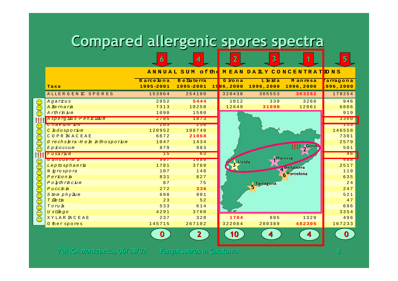# Compared allergenic spores spectra

|                                                                                          |                                        |           | ANNUAL SUM of the    |           |                     | <u>IMEAN DAILY CONCENTRATIONS</u> |           |
|------------------------------------------------------------------------------------------|----------------------------------------|-----------|----------------------|-----------|---------------------|-----------------------------------|-----------|
|                                                                                          |                                        | Barcelona | <b>B</b> e lla terra | Girona    | Lleida              | <b>Manresa</b>                    | 'arragona |
|                                                                                          | Taxa                                   | 1995-2001 | 1995-2001            | 1996,2000 | 1996,2000 1996,2000 |                                   | 996,2000  |
|                                                                                          | ALLERGENIC SPORES                      | 153864    | 254199               | 320438    | 305553              | 363262                            | 178254    |
|                                                                                          | Agarrus                                | 2852      | 5444                 | 1012      | 339                 | 3266                              | 946       |
|                                                                                          | A lte maria                            | 7313      | 10258                | 12649     | 31098               | 12061                             | 6806      |
| <u>GG</u>                                                                                | Arthrinium                             | 1090      | 1580                 |           |                     |                                   | 919       |
|                                                                                          | A spergillus-Penrillum                 | 2785      | 1873                 |           |                     |                                   | 3300      |
|                                                                                          | <mark>с пае о шти ш</mark>             | 203       | $Z$ $J$ $U$          |           |                     |                                   | 153       |
|                                                                                          | C hdosporim                            | 120952    | 198749               |           |                     |                                   | 146558    |
| $\bigodot(\begin{matrix}\cdot\cdot\end{matrix})$                                         | COPR IN ACEAE                          | 6872      | 21068                |           |                     |                                   | 7301      |
| <u>ಸ್</u>                                                                                | Drechsbra-Hehminthosporium             | 1047      | 1434                 |           |                     | 2579                              |           |
| $\odot$                                                                                  | $E$ $p$ $\dot{\mathcal{L}}$ $o$ $ccum$ | 879       | 983                  |           |                     | <b>Actrony</b><br>!!!!            | 501       |
|                                                                                          |                                        |           |                      |           |                     |                                   |           |
|                                                                                          | Fusarim                                | 15        | 63                   |           |                     |                                   | 46        |
|                                                                                          | Ganoderma                              | $991$     | 1009                 |           |                     | Manresa                           | 400       |
|                                                                                          | Leptosphaeria                          | 1781      | 3769                 | Lleida    |                     |                                   | 2517      |
|                                                                                          | N <i>igro spora</i>                    | 107       | 148                  |           |                     | <sup>Bellaterra</sup>             | 119       |
|                                                                                          | Perronia                               | 831       | 827                  |           |                     | Rarcelona                         | 635       |
|                                                                                          | Polythrincium                          | 87        | 75                   |           | Tarragona           |                                   | 24        |
|                                                                                          | $P$ uccinia                            | 272       | 336                  |           |                     |                                   | 247       |
| $\odot$<br><u>)(;)(;)</u><br>$\widetilde{\mathbb{C}}$<br>$\odot$<br>$\mathcal{O}(\cdot)$ | Stem phylium                           | 698       | 901                  |           |                     |                                   | 521       |
|                                                                                          | T ille tia                             | 23        | 52                   |           |                     |                                   | 47        |
| $\widetilde{\odot}$                                                                      | Toruh                                  | 533       | 614                  |           |                     |                                   | 696       |
|                                                                                          | U stibqo                               | 4291      | 3760                 |           |                     |                                   | 3354      |
| $\widehat{\odot}$<br>$\odot$                                                             | XYLAR IAC EAE                          | 237       | 328                  | 1704      | 805                 | 1329                              | 496       |
|                                                                                          | O ther spores                          | 145715    | 267102               | 322084    | 280389              | 482305                            | 167233    |
|                                                                                          |                                        |           | 2                    | 10        |                     | 4                                 | O         |

7th ICA Montebello, 06/08/02 Fungal spores in Catalonia

 $\mathbf{r}$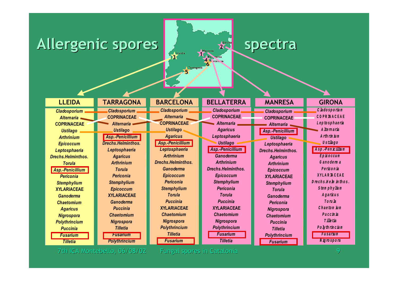#### Allergenic spores  $\frac{1}{2}$  spectra



7th ICA Montebello, 06/08/02 7th ICA Montebello, 06/08/02 Fungal spores in Catalonia Fungal spores Catalonia 9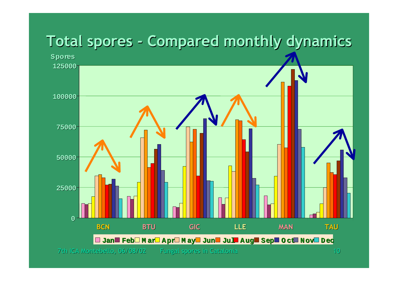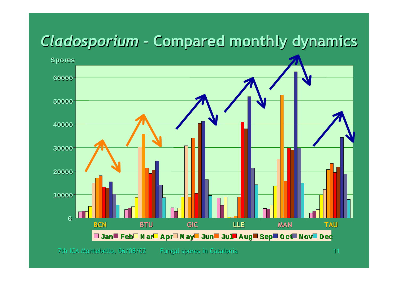### **0100002000030000400005000060000BCN BTU GIC LLE MAN TAU Spores Jan Feb M ar Apr M ay Jun Jul Aug Sep O ct Nov D ec**  *Cladosporium Cladosporium -* **Compared monthly dynamics Compared monthly dynamics**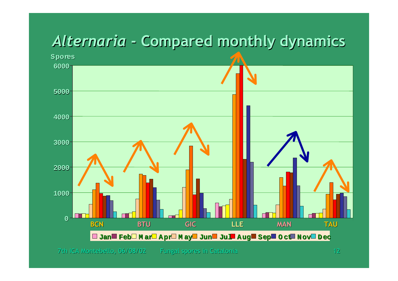## *Alternaria Alternaria* **- Compared monthly dynamics - Compared monthly dynamics**

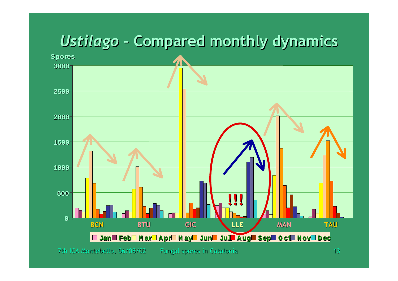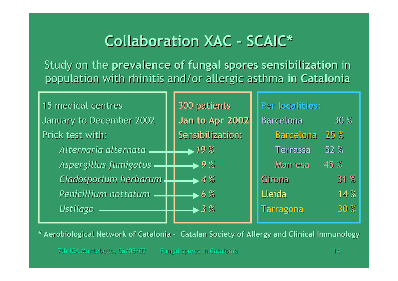#### **Collaboration XAC - SCAIC\* Collaboration XAC - SCAIC\***

Study on the prevalence of fungal spores sensibilization in population with rhinitis and/or allergic asthma in Catalonia

| 15 medical centres       |  | 300 patients              |  | Per localities:  |             |  |  |
|--------------------------|--|---------------------------|--|------------------|-------------|--|--|
| January to December 2002 |  | Jan to Apr 2002           |  | <b>Barcelona</b> | 30 %        |  |  |
| Prick test with:         |  | Sensibilization:          |  | <b>Barcelona</b> | 25%         |  |  |
| Alternaria alternata     |  | $+19\%$                   |  | <b>Terrassa</b>  | <b>52 %</b> |  |  |
| Aspergillus fumigatus    |  | $\rightarrow$ 9 %         |  | <b>Manresa</b>   | 45 %        |  |  |
| Cladosporium herbarum    |  | $\blacktriangleright$ 4 % |  | Girona           | 31 %        |  |  |
| Penicillium nottatum     |  | $\blacktriangleright$ 6 % |  | Lleida           | 14%         |  |  |
| <b>Ustilago</b>          |  | $\blacktriangleright$ 3 % |  | <b>Tarragona</b> | 30 %        |  |  |
|                          |  |                           |  |                  |             |  |  |

\* Aerobiological Network of Catalonia - Catalan Society of Allergy and Clinical Immunology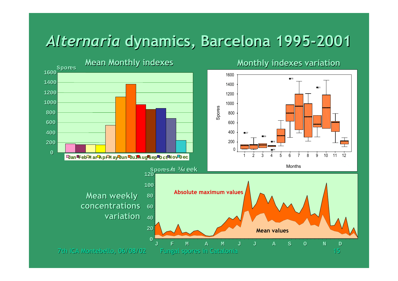#### *Alternaria Alternaria* **dynamics, Barcelona 1995-2001 dynamics, Barcelona 1995-2001**

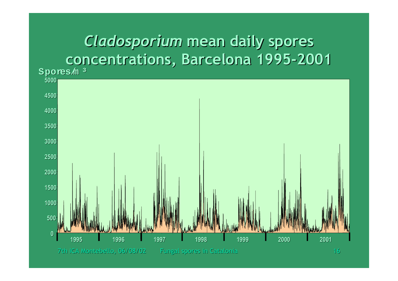## *Cladosporium Cladosporium* **mean daily spores mean daily spores concentrations, Barcelona 1995-2001 concentrations, Barcelona 1995-2001**

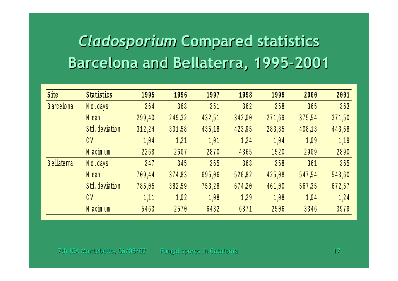# **Cladosporium Compared statistics** Barcelona and Bellaterra, 1995-2001

| <b>S</b> ite       | Statistics     | 1995   | 1996   | 1997   | 1998   | 1999   | 2000   | 2001   |
|--------------------|----------------|--------|--------|--------|--------|--------|--------|--------|
| <b>B</b> arce lona | No.days        | 364    | 363    | 351    | 362    | 358    | 365    | 363    |
|                    | M ean          | 299,40 | 249,32 | 432,51 | 342,00 | 271,69 | 375,54 | 371,50 |
|                    | Std.deviation  | 312,24 | 301,58 | 435,18 | 423,95 | 283,85 | 408,13 | 443,68 |
|                    | C <sub>V</sub> | 1,04   | 1,21   | 1,01   | 1,24   | 1,04   | 1,09   | 1,19   |
|                    | M axim um      | 2268   | 2607   | 2870   | 4365   | 1520   | 2909   | 2890   |
| <b>B</b> ellaterra | No.days        | 347    | 345    | 365    | 363    | 358    | 361    | 365    |
|                    | M ean          | 709,44 | 374,83 | 695,06 | 520,82 | 425,08 | 547,54 | 543,60 |
|                    | Std.deviation  | 785,05 | 382,59 | 753,28 | 674,20 | 461,00 | 567,35 | 672,57 |
|                    | C <sub>V</sub> | 1,11   | 1,02   | 1,08   | 1,29   | 1,08   | 1,04   | 1,24   |
|                    | M axim um      | 5463   | 2570   | 6432   | 6871   | 2506   | 3346   | 3979   |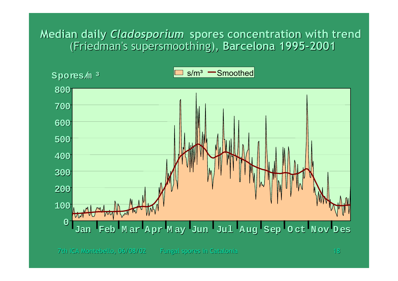#### **Median daily** *Cladosporium Cladosporium* **spores concentration with trend spores concentration with trend**  (Friedman's supersmoothing), Barcelona 1995-2001

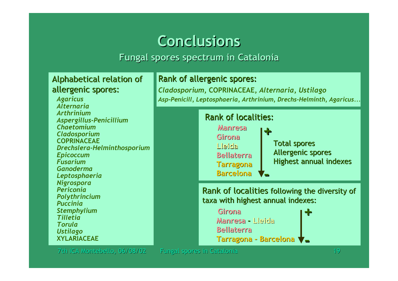#### **Conclusions Conclusions**

#### **Fungal spores spectrum in Catalonia**

#### Alphabetical relation of allergenic spores:

*Agaricus AlternariaArthriniumAspergillus-Penicillium ChaetomiumCladosporium* **COPRINACEAE***Drechslera-Helminthosporium Epicoccum FusariumGanodermaLeptosphaeria Nigrospora PericoniaPolythrincium PucciniaStemphylium TilletiaTorulaUstilago* **XYLARIACEAE**

#### Rank of allergenic spores:

*Cladosporium***, COPRINACEAE,** *Alternaria***,** *Ustilago Asp-Penicill, Leptosphaeria, Arthrinium, Drechs-Helminth, Agaricus...*



**Bellaterra BellaterraTarragona - Barcelona Tarragona - Barcelona -**

7th ICA Montebello, 06/08/02 7th ICA Montebello, 06/08/02 Fungal spores in Catalonia Fungal spores Catalonia 19